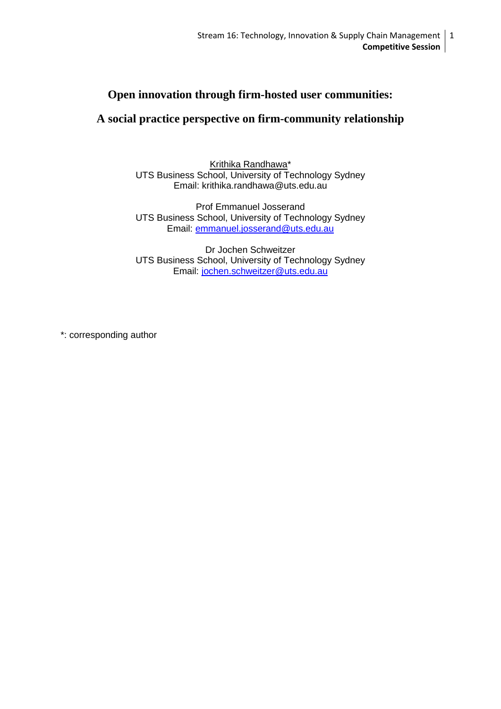## **Open innovation through firm-hosted user communities:**

# **A social practice perspective on firm-community relationship**

Krithika Randhawa\* UTS Business School, University of Technology Sydney Email: krithika.randhawa@uts.edu.au

Prof Emmanuel Josserand UTS Business School, University of Technology Sydney Email: [emmanuel.josserand@uts.edu.au](mailto:emmanuel.josserand@uts.edu.au)

Dr Jochen Schweitzer UTS Business School, University of Technology Sydney Email: [jochen.schweitzer@uts.edu.au](mailto:jochen.schweitzer@uts.edu.au)

\*: corresponding author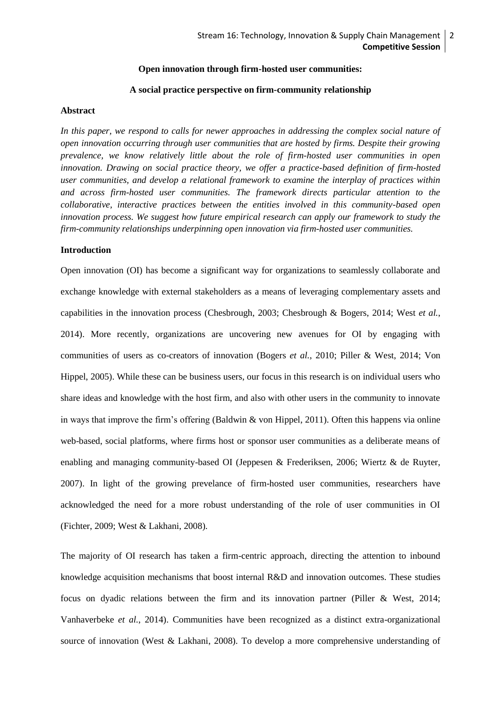## **Open innovation through firm-hosted user communities:**

#### **A social practice perspective on firm-community relationship**

#### **Abstract**

In this paper, we respond to calls for newer approaches in addressing the complex social nature of *open innovation occurring through user communities that are hosted by firms. Despite their growing prevalence, we know relatively little about the role of firm-hosted user communities in open innovation. Drawing on social practice theory, we offer a practice-based definition of firm-hosted user communities, and develop a relational framework to examine the interplay of practices within and across firm-hosted user communities. The framework directs particular attention to the collaborative, interactive practices between the entities involved in this community-based open innovation process. We suggest how future empirical research can apply our framework to study the firm-community relationships underpinning open innovation via firm-hosted user communities.*

#### **Introduction**

Open innovation (OI) has become a significant way for organizations to seamlessly collaborate and exchange knowledge with external stakeholders as a means of leveraging complementary assets and capabilities in the innovation process [\(Chesbrough, 2003;](#page-16-0) [Chesbrough & Bogers, 2014;](#page-16-1) [West](#page-18-0) *et al.*, [2014\)](#page-18-0). More recently, organizations are uncovering new avenues for OI by engaging with communities of users as co-creators of innovation [\(Bogers](#page-16-2) *et al.*, 2010; [Piller & West, 2014;](#page-17-0) [Von](#page-18-1)  [Hippel, 2005\)](#page-18-1). While these can be business users, our focus in this research is on individual users who share ideas and knowledge with the host firm, and also with other users in the community to innovate in ways that improve the firm's offering (Baldwin  $\&$  von Hippel, 2011). Often this happens via online web-based, social platforms, where firms host or sponsor user communities as a deliberate means of enabling and managing community-based OI [\(Jeppesen & Frederiksen, 2006;](#page-17-1) [Wiertz & de Ruyter,](#page-18-2)  [2007\)](#page-18-2). In light of the growing prevelance of firm-hosted user communities, researchers have acknowledged the need for a more robust understanding of the role of user communities in OI [\(Fichter, 2009;](#page-16-4) [West & Lakhani, 2008\)](#page-18-3).

The majority of OI research has taken a firm-centric approach, directing the attention to inbound knowledge acquisition mechanisms that boost internal R&D and innovation outcomes. These studies focus on dyadic relations between the firm and its innovation partner [\(Piller & West, 2014;](#page-17-0) [Vanhaverbeke](#page-18-4) *et al.*, 2014). Communities have been recognized as a distinct extra-organizational source of innovation (West & Lakhani, 2008). To develop a more comprehensive understanding of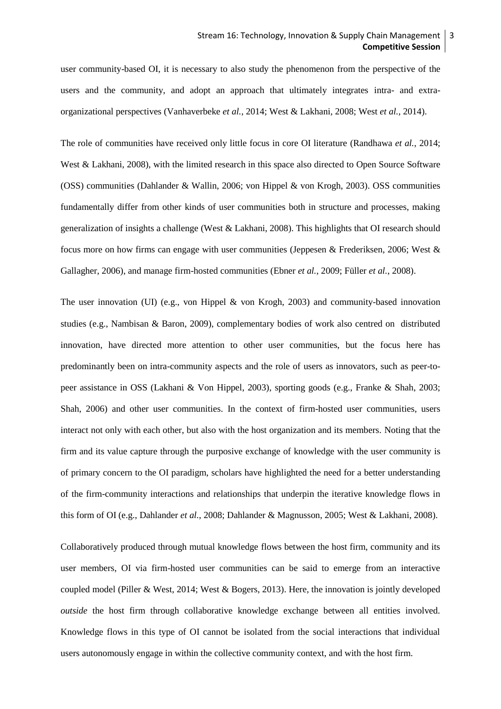user community-based OI, it is necessary to also study the phenomenon from the perspective of the users and the community, and adopt an approach that ultimately integrates intra- and extraorganizational perspectives [\(Vanhaverbeke](#page-18-4) *et al.*, 2014; [West & Lakhani, 2008;](#page-18-3) West *et al.*[, 2014\)](#page-18-0).

The role of communities have received only little focus in core OI literature [\(Randhawa](#page-17-2) *et al.*, 2014; [West & Lakhani, 2008\)](#page-18-3), with the limited research in this space also directed to Open Source Software (OSS) communities [\(Dahlander & Wallin, 2006;](#page-16-5) [von Hippel & von Krogh, 2003\)](#page-18-5). OSS communities fundamentally differ from other kinds of user communities both in structure and processes, making generalization of insights a challenge [\(West & Lakhani, 2008\)](#page-18-3). This highlights that OI research should focus more on how firms can engage with user communities [\(Jeppesen & Frederiksen, 2006;](#page-17-1) [West &](#page-18-6)  [Gallagher, 2006\)](#page-18-6), and manage firm-hosted communities (Ebner *et al.*[, 2009;](#page-16-6) Füller *et al.*[, 2008\)](#page-16-7).

The user innovation (UI) [\(e.g., von Hippel & von Krogh, 2003\)](#page-18-5) and community-based innovation studies [\(e.g., Nambisan & Baron, 2009\)](#page-17-3), complementary bodies of work also centred on distributed innovation, have directed more attention to other user communities, but the focus here has predominantly been on intra-community aspects and the role of users as innovators, such as peer-topeer assistance in OSS [\(Lakhani & Von Hippel, 2003\)](#page-17-4), sporting goods (e.g., [Franke & Shah, 2003;](#page-16-8) [Shah, 2006\)](#page-17-5) and other user communities. In the context of firm-hosted user communities, users interact not only with each other, but also with the host organization and its members. Noting that the firm and its value capture through the purposive exchange of knowledge with the user community is of primary concern to the OI paradigm, scholars have highlighted the need for a better understanding of the firm-community interactions and relationships that underpin the iterative knowledge flows in this form of OI (e.g., [Dahlander](#page-16-9) *et al.*, 2008[; Dahlander & Magnusson, 2005;](#page-16-10) [West & Lakhani, 2008\)](#page-18-3).

Collaboratively produced through mutual knowledge flows between the host firm, community and its user members, OI via firm-hosted user communities can be said to emerge from an interactive coupled model [\(Piller & West, 2014;](#page-17-0) [West & Bogers, 2013\)](#page-18-7). Here, the innovation is jointly developed *outside* the host firm through collaborative knowledge exchange between all entities involved. Knowledge flows in this type of OI cannot be isolated from the social interactions that individual users autonomously engage in within the collective community context, and with the host firm.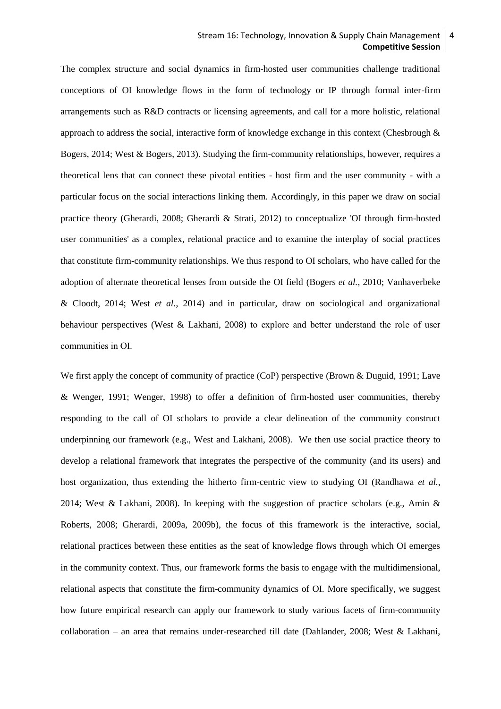## Stream 16: Technology, Innovation & Supply Chain Management | 4 **Competitive Session**

The complex structure and social dynamics in firm-hosted user communities challenge traditional conceptions of OI knowledge flows in the form of technology or IP through formal inter-firm arrangements such as R&D contracts or licensing agreements, and call for a more holistic, relational approach to address the social, interactive form of knowledge exchange in this context [\(Chesbrough &](#page-16-1)  [Bogers, 2014;](#page-16-1) [West & Bogers, 2013\)](#page-18-7). Studying the firm-community relationships, however, requires a theoretical lens that can connect these pivotal entities - host firm and the user community - with a particular focus on the social interactions linking them. Accordingly, in this paper we draw on social practice theory [\(Gherardi, 2008;](#page-16-11) [Gherardi & Strati, 2012\)](#page-17-6) to conceptualize 'OI through firm-hosted user communities' as a complex, relational practice and to examine the interplay of social practices that constitute firm-community relationships. We thus respond to OI scholars, who have called for the adoption of alternate theoretical lenses from outside the OI field [\(Bogers](#page-16-2) *et al.*, 2010; [Vanhaverbeke](#page-18-8)  [& Cloodt, 2014;](#page-18-8) West *et al.*[, 2014\)](#page-18-0) and in particular, draw on sociological and organizational behaviour perspectives [\(West & Lakhani, 2008\)](#page-18-3) to explore and better understand the role of user communities in OI.

We first apply the concept of community of practice (CoP) perspective [\(Brown & Duguid, 1991;](#page-16-12) Lave [& Wenger, 1991;](#page-17-7) [Wenger, 1998\)](#page-18-9) to offer a definition of firm-hosted user communities, thereby responding to the call of OI scholars to provide a clear delineation of the community construct underpinning our framework (e.g., West and Lakhani, 2008). We then use social practice theory to develop a relational framework that integrates the perspective of the community (and its users) and host organization, thus extending the hitherto firm-centric view to studying OI [\(Randhawa](#page-17-2) *et al.*, [2014;](#page-17-2) [West & Lakhani, 2008\)](#page-18-3). In keeping with the suggestion of practice scholars (e.g., Amin & [Roberts, 2008;](#page-16-13) [Gherardi, 2009a,](#page-16-14) [2009b\)](#page-17-8), the focus of this framework is the interactive, social, relational practices between these entities as the seat of knowledge flows through which OI emerges in the community context. Thus, our framework forms the basis to engage with the multidimensional, relational aspects that constitute the firm-community dynamics of OI. More specifically, we suggest how future empirical research can apply our framework to study various facets of firm-community collaboration – an area that remains under-researched till date (Dahlander, 2008; West & Lakhani,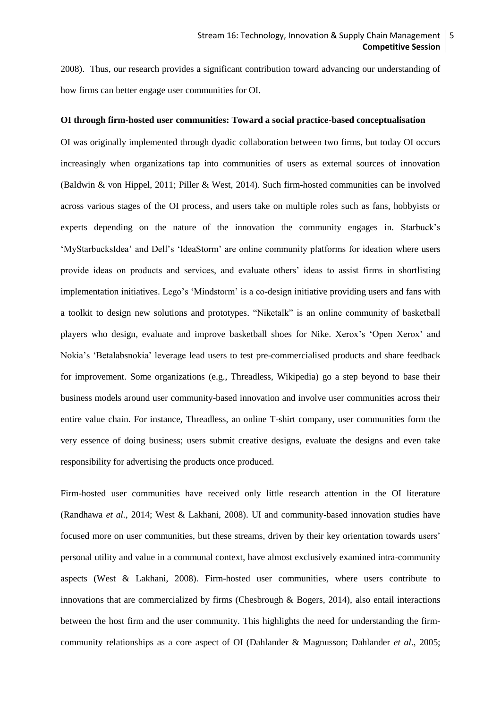2008). Thus, our research provides a significant contribution toward advancing our understanding of how firms can better engage user communities for OI.

#### **OI through firm-hosted user communities: Toward a social practice-based conceptualisation**

OI was originally implemented through dyadic collaboration between two firms, but today OI occurs increasingly when organizations tap into communities of users as external sources of innovation [\(Baldwin & von Hippel, 2011;](#page-16-3) [Piller & West, 2014\)](#page-17-0). Such firm-hosted communities can be involved across various stages of the OI process, and users take on multiple roles such as fans, hobbyists or experts depending on the nature of the innovation the community engages in. Starbuck's 'MyStarbucksIdea' and Dell's 'IdeaStorm' are online community platforms for ideation where users provide ideas on products and services, and evaluate others' ideas to assist firms in shortlisting implementation initiatives. Lego's 'Mindstorm' is a co-design initiative providing users and fans with a toolkit to design new solutions and prototypes. "Niketalk" is an online community of basketball players who design, evaluate and improve basketball shoes for Nike. Xerox's 'Open Xerox' and Nokia's 'Betalabsnokia' leverage lead users to test pre-commercialised products and share feedback for improvement. Some organizations (e.g., Threadless, Wikipedia) go a step beyond to base their business models around user community-based innovation and involve user communities across their entire value chain. For instance, Threadless, an online T-shirt company, user communities form the very essence of doing business; users submit creative designs, evaluate the designs and even take responsibility for advertising the products once produced.

Firm-hosted user communities have received only little research attention in the OI literature [\(Randhawa](#page-17-2) *et al.*, 2014; [West & Lakhani, 2008\)](#page-18-3). UI and community-based innovation studies have focused more on user communities, but these streams, driven by their key orientation towards users' personal utility and value in a communal context, have almost exclusively examined intra-community aspects (West & Lakhani, 2008). Firm-hosted user communities, where users contribute to innovations that are commercialized by firms (Chesbrough & Bogers, 2014), also entail interactions between the host firm and the user community. This highlights the need for understanding the firmcommunity relationships as a core aspect of OI (Dahlander & Magnusson; Dahlander *et al*., 2005;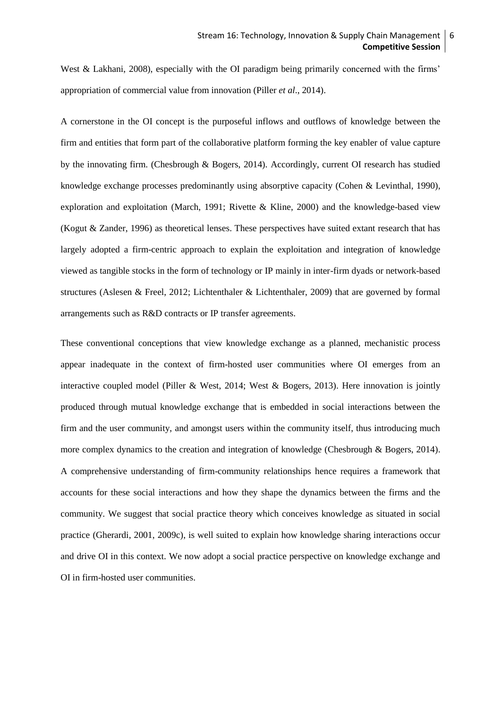West & Lakhani, 2008), especially with the OI paradigm being primarily concerned with the firms' appropriation of commercial value from innovation (Piller *et al*., 2014).

A cornerstone in the OI concept is the purposeful inflows and outflows of knowledge between the firm and entities that form part of the collaborative platform forming the key enabler of value capture by the innovating firm. (Chesbrough & Bogers, 2014). Accordingly, current OI research has studied knowledge exchange processes predominantly using absorptive capacity [\(Cohen & Levinthal, 1990\)](#page-16-15), exploration and exploitation [\(March, 1991;](#page-17-9) [Rivette & Kline, 2000\)](#page-17-10) and the knowledge-based view [\(Kogut & Zander, 1996\)](#page-17-11) as theoretical lenses. These perspectives have suited extant research that has largely adopted a firm-centric approach to explain the exploitation and integration of knowledge viewed as tangible stocks in the form of technology or IP mainly in inter-firm dyads or network-based structures [\(Aslesen & Freel, 2012;](#page-16-16) [Lichtenthaler & Lichtenthaler, 2009\)](#page-17-12) that are governed by formal arrangements such as R&D contracts or IP transfer agreements.

These conventional conceptions that view knowledge exchange as a planned, mechanistic process appear inadequate in the context of firm-hosted user communities where OI emerges from an interactive coupled model [\(Piller & West, 2014;](#page-17-0) [West & Bogers, 2013\)](#page-18-7). Here innovation is jointly produced through mutual knowledge exchange that is embedded in social interactions between the firm and the user community, and amongst users within the community itself, thus introducing much more complex dynamics to the creation and integration of knowledge [\(Chesbrough & Bogers, 2014\)](#page-16-1). A comprehensive understanding of firm-community relationships hence requires a framework that accounts for these social interactions and how they shape the dynamics between the firms and the community. We suggest that social practice theory which conceives knowledge as situated in social practice [\(Gherardi, 2001,](#page-16-17) [2009c\)](#page-17-13), is well suited to explain how knowledge sharing interactions occur and drive OI in this context. We now adopt a social practice perspective on knowledge exchange and OI in firm-hosted user communities.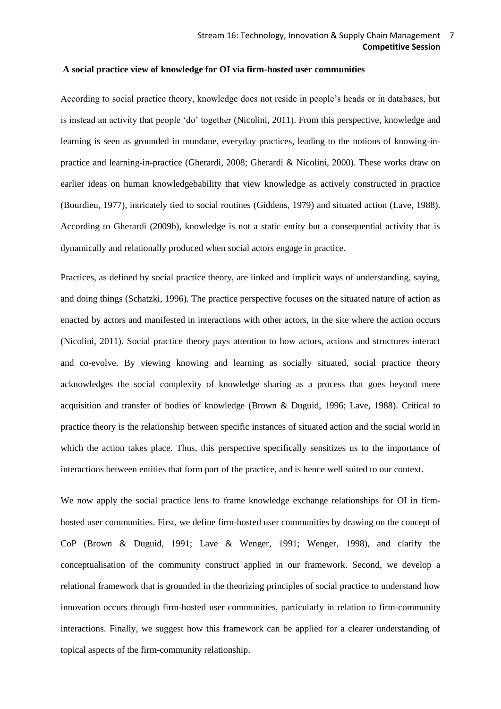## **A social practice view of knowledge for OI via firm-hosted user communities**

According to social practice theory, knowledge does not reside in people's heads or in databases, but is instead an activity that people 'do' together [\(Nicolini, 2011\)](#page-17-14). From this perspective, knowledge and learning is seen as grounded in mundane, everyday practices, leading to the notions of knowing-inpractice and learning-in-practice [\(Gherardi, 2008;](#page-16-11) [Gherardi & Nicolini, 2000\)](#page-17-15). These works draw on earlier ideas on human knowledgebability that view knowledge as actively constructed in practice [\(Bourdieu, 1977\)](#page-16-18), intricately tied to social routines [\(Giddens, 1979\)](#page-17-16) and situated action [\(Lave, 1988\)](#page-17-17). According to Gherardi (2009b), knowledge is not a static entity but a consequential activity that is dynamically and relationally produced when social actors engage in practice.

Practices, as defined by social practice theory, are linked and implicit ways of understanding, saying, and doing things (Schatzki, 1996). The practice perspective focuses on the situated nature of action as enacted by actors and manifested in interactions with other actors, in the site where the action occurs [\(Nicolini, 2011\)](#page-17-14). Social practice theory pays attention to how actors, actions and structures interact and co-evolve. By viewing knowing and learning as socially situated, social practice theory acknowledges the social complexity of knowledge sharing as a process that goes beyond mere acquisition and transfer of bodies of knowledge [\(Brown & Duguid, 1996;](#page-16-19) [Lave, 1988\)](#page-17-17). Critical to practice theory is the relationship between specific instances of situated action and the social world in which the action takes place. Thus, this perspective specifically sensitizes us to the importance of interactions between entities that form part of the practice, and is hence well suited to our context.

We now apply the social practice lens to frame knowledge exchange relationships for OI in firmhosted user communities. First, we define firm-hosted user communities by drawing on the concept of CoP [\(Brown & Duguid, 1991;](#page-16-12) [Lave & Wenger, 1991;](#page-17-7) [Wenger, 1998\)](#page-18-9), and clarify the conceptualisation of the community construct applied in our framework. Second, we develop a relational framework that is grounded in the theorizing principles of social practice to understand how innovation occurs through firm-hosted user communities, particularly in relation to firm-community interactions. Finally, we suggest how this framework can be applied for a clearer understanding of topical aspects of the firm-community relationship.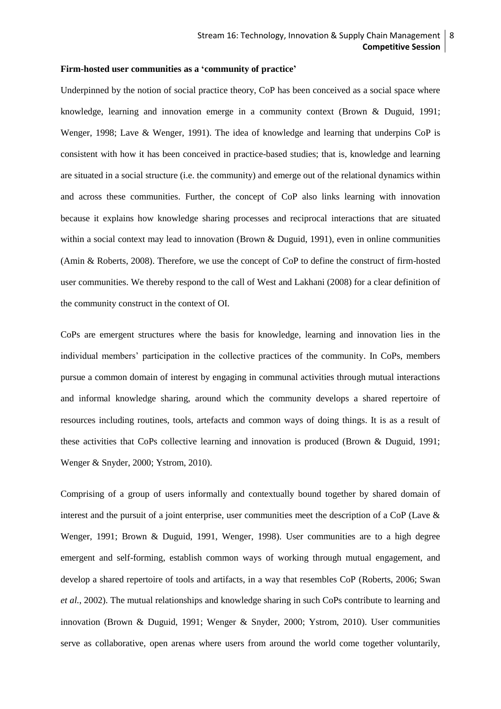#### **Firm-hosted user communities as a 'community of practice'**

Underpinned by the notion of social practice theory, CoP has been conceived as a social space where knowledge, learning and innovation emerge in a community context (Brown & Duguid, 1991; Wenger, 1998; Lave & Wenger, 1991). The idea of knowledge and learning that underpins CoP is consistent with how it has been conceived in practice-based studies; that is, knowledge and learning are situated in a social structure (i.e. the community) and emerge out of the relational dynamics within and across these communities. Further, the concept of CoP also links learning with innovation because it explains how knowledge sharing processes and reciprocal interactions that are situated within a social context may lead to innovation (Brown & Duguid, 1991), even in online communities [\(Amin & Roberts, 2008\)](#page-16-13). Therefore, we use the concept of CoP to define the construct of firm-hosted user communities. We thereby respond to the call of West and Lakhani (2008) for a clear definition of the community construct in the context of OI.

CoPs are emergent structures where the basis for knowledge, learning and innovation lies in the individual members' participation in the collective practices of the community. In CoPs, members pursue a common domain of interest by engaging in communal activities through mutual interactions and informal knowledge sharing, around which the community develops a shared repertoire of resources including routines, tools, artefacts and common ways of doing things. It is as a result of these activities that CoPs collective learning and innovation is produced (Brown & Duguid, 1991; Wenger & Snyder, 2000; Ystrom, 2010).

Comprising of a group of users informally and contextually bound together by shared domain of interest and the pursuit of a joint enterprise, user communities meet the description of a CoP (Lave & Wenger, 1991; Brown & Duguid, 1991, Wenger, 1998). User communities are to a high degree emergent and self-forming, establish common ways of working through mutual engagement, and develop a shared repertoire of tools and artifacts, in a way that resembles CoP [\(Roberts, 2006;](#page-17-18) [Swan](#page-17-19) *et al.*[, 2002\)](#page-17-19). The mutual relationships and knowledge sharing in such CoPs contribute to learning and innovation (Brown & Duguid, 1991; Wenger & Snyder, 2000; Ystrom, 2010). User communities serve as collaborative, open arenas where users from around the world come together voluntarily,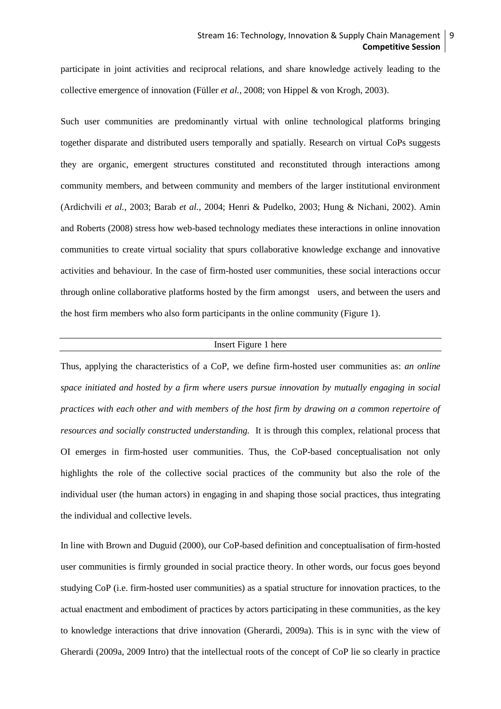participate in joint activities and reciprocal relations, and share knowledge actively leading to the collective emergence of innovation (Füller *et al.*[, 2008;](#page-16-7) [von Hippel & von Krogh, 2003\)](#page-18-5).

Such user communities are predominantly virtual with online technological platforms bringing together disparate and distributed users temporally and spatially. Research on virtual CoPs suggests they are organic, emergent structures constituted and reconstituted through interactions among community members, and between community and members of the larger institutional environment [\(Ardichvili](#page-16-20) *et al.*, 2003; Barab *et al.*[, 2004;](#page-16-21) [Henri & Pudelko, 2003;](#page-17-20) [Hung & Nichani, 2002\)](#page-17-21). Amin and Roberts (2008) stress how web-based technology mediates these interactions in online innovation communities to create virtual sociality that spurs collaborative knowledge exchange and innovative activities and behaviour. In the case of firm-hosted user communities, these social interactions occur through online collaborative platforms hosted by the firm amongst users, and between the users and the host firm members who also form participants in the online community (Figure 1).

#### Insert Figure 1 here

Thus, applying the characteristics of a CoP, we define firm-hosted user communities as: *an online space initiated and hosted by a firm where users pursue innovation by mutually engaging in social practices with each other and with members of the host firm by drawing on a common repertoire of resources and socially constructed understanding.* It is through this complex, relational process that OI emerges in firm-hosted user communities. Thus, the CoP-based conceptualisation not only highlights the role of the collective social practices of the community but also the role of the individual user (the human actors) in engaging in and shaping those social practices, thus integrating the individual and collective levels.

In line with Brown and Duguid (2000), our CoP-based definition and conceptualisation of firm-hosted user communities is firmly grounded in social practice theory. In other words, our focus goes beyond studying CoP (i.e. firm-hosted user communities) as a spatial structure for innovation practices, to the actual enactment and embodiment of practices by actors participating in these communities, as the key to knowledge interactions that drive innovation [\(Gherardi, 2009a\)](#page-16-14). This is in sync with the view of Gherardi (2009a, 2009 Intro) that the intellectual roots of the concept of CoP lie so clearly in practice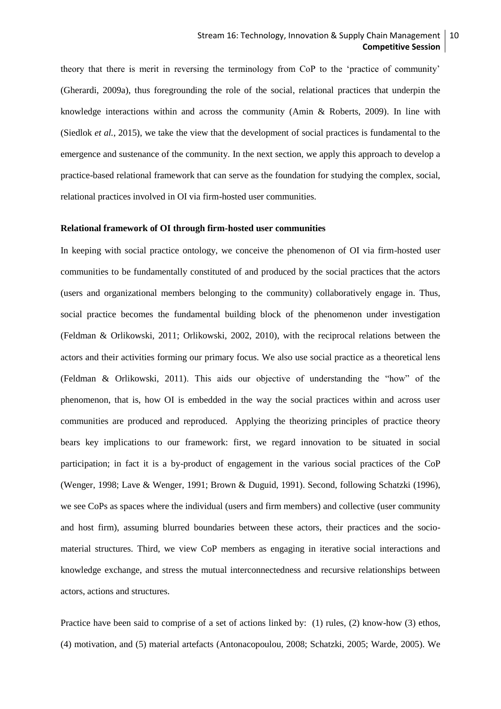theory that there is merit in reversing the terminology from CoP to the 'practice of community' [\(Gherardi, 2009a\)](#page-16-14), thus foregrounding the role of the social, relational practices that underpin the knowledge interactions within and across the community (Amin & Roberts, 2009). In line with [\(Siedlok](#page-17-22) *et al.*, 2015), we take the view that the development of social practices is fundamental to the emergence and sustenance of the community. In the next section, we apply this approach to develop a practice-based relational framework that can serve as the foundation for studying the complex, social, relational practices involved in OI via firm-hosted user communities.

#### **Relational framework of OI through firm-hosted user communities**

In keeping with social practice ontology, we conceive the phenomenon of OI via firm-hosted user communities to be fundamentally constituted of and produced by the social practices that the actors (users and organizational members belonging to the community) collaboratively engage in. Thus, social practice becomes the fundamental building block of the phenomenon under investigation [\(Feldman & Orlikowski, 2011;](#page-16-22) [Orlikowski, 2002,](#page-17-23) [2010\)](#page-17-24), with the reciprocal relations between the actors and their activities forming our primary focus. We also use social practice as a theoretical lens (Feldman & Orlikowski, 2011). This aids our objective of understanding the "how" of the phenomenon, that is, how OI is embedded in the way the social practices within and across user communities are produced and reproduced. Applying the theorizing principles of practice theory bears key implications to our framework: first, we regard innovation to be situated in social participation; in fact it is a by-product of engagement in the various social practices of the CoP (Wenger, 1998; Lave & Wenger, 1991; Brown & Duguid, 1991). Second, following Schatzki (1996), we see CoPs as spaces where the individual (users and firm members) and collective (user community and host firm), assuming blurred boundaries between these actors, their practices and the sociomaterial structures. Third, we view CoP members as engaging in iterative social interactions and knowledge exchange, and stress the mutual interconnectedness and recursive relationships between actors, actions and structures.

Practice have been said to comprise of a set of actions linked by: (1) rules, (2) know-how (3) ethos, (4) motivation, and (5) material artefacts [\(Antonacopoulou, 2008;](#page-16-23) [Schatzki, 2005;](#page-17-25) [Warde, 2005\)](#page-18-10). We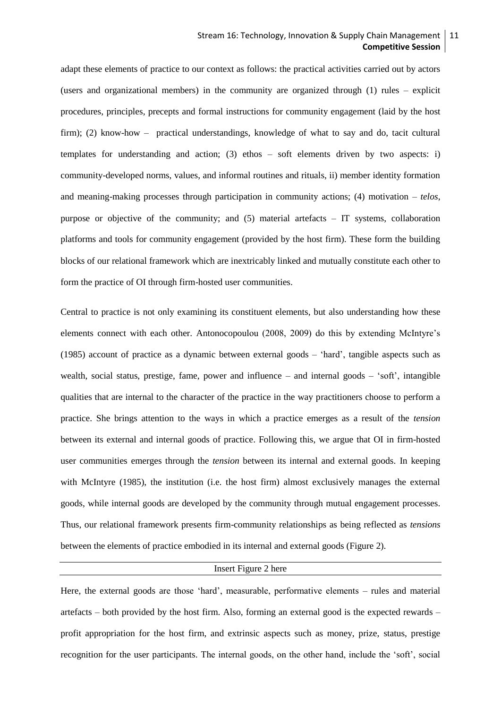## Stream 16: Technology, Innovation & Supply Chain Management | 11 **Competitive Session**

adapt these elements of practice to our context as follows: the practical activities carried out by actors (users and organizational members) in the community are organized through (1) rules – explicit procedures, principles, precepts and formal instructions for community engagement (laid by the host firm); (2) know-how – practical understandings, knowledge of what to say and do, tacit cultural templates for understanding and action; (3) ethos  $-$  soft elements driven by two aspects: i) community-developed norms, values, and informal routines and rituals, ii) member identity formation and meaning-making processes through participation in community actions; (4) motivation – *telos*, purpose or objective of the community; and (5) material artefacts – IT systems, collaboration platforms and tools for community engagement (provided by the host firm). These form the building blocks of our relational framework which are inextricably linked and mutually constitute each other to form the practice of OI through firm-hosted user communities.

Central to practice is not only examining its constituent elements, but also understanding how these elements connect with each other. Antonocopoulou (2008, 2009) do this by extending McIntyre's (1985) account of practice as a dynamic between external goods – 'hard', tangible aspects such as wealth, social status, prestige, fame, power and influence – and internal goods – 'soft', intangible qualities that are internal to the character of the practice in the way practitioners choose to perform a practice. She brings attention to the ways in which a practice emerges as a result of the *tension* between its external and internal goods of practice. Following this, we argue that OI in firm-hosted user communities emerges through the *tension* between its internal and external goods. In keeping with McIntyre (1985), the institution (i.e. the host firm) almost exclusively manages the external goods, while internal goods are developed by the community through mutual engagement processes. Thus, our relational framework presents firm-community relationships as being reflected as *tensions* between the elements of practice embodied in its internal and external goods (Figure 2).

## Insert Figure 2 here

Here, the external goods are those 'hard', measurable, performative elements – rules and material artefacts – both provided by the host firm. Also, forming an external good is the expected rewards – profit appropriation for the host firm, and extrinsic aspects such as money, prize, status, prestige recognition for the user participants. The internal goods, on the other hand, include the 'soft', social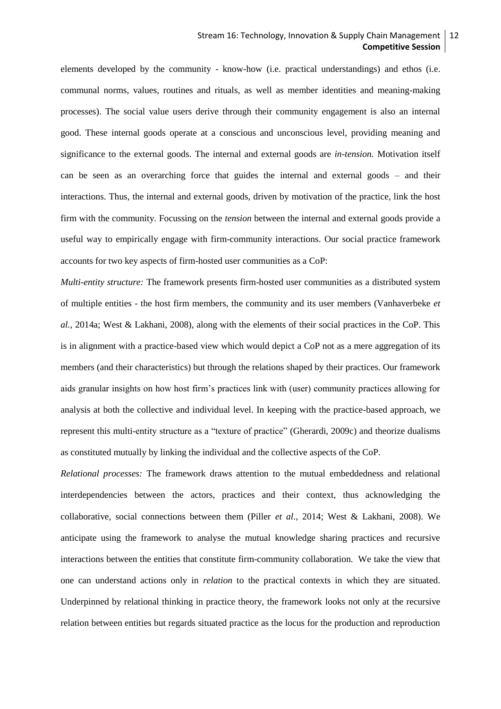## Stream 16: Technology, Innovation & Supply Chain Management 12 **Competitive Session**

elements developed by the community - know-how (i.e. practical understandings) and ethos (i.e. communal norms, values, routines and rituals, as well as member identities and meaning-making processes). The social value users derive through their community engagement is also an internal good. These internal goods operate at a conscious and unconscious level, providing meaning and significance to the external goods. The internal and external goods are *in-tension.* Motivation itself can be seen as an overarching force that guides the internal and external goods – and their interactions. Thus, the internal and external goods, driven by motivation of the practice, link the host firm with the community. Focussing on the *tension* between the internal and external goods provide a useful way to empirically engage with firm-community interactions. Our social practice framework accounts for two key aspects of firm-hosted user communities as a CoP:

*Multi-entity structure:* The framework presents firm-hosted user communities as a distributed system of multiple entities - the host firm members, the community and its user members (Vanhaverbeke *et al.,* 2014a; West & Lakhani, 2008), along with the elements of their social practices in the CoP. This is in alignment with a practice-based view which would depict a CoP not as a mere aggregation of its members (and their characteristics) but through the relations shaped by their practices. Our framework aids granular insights on how host firm's practices link with (user) community practices allowing for analysis at both the collective and individual level. In keeping with the practice-based approach, we represent this multi-entity structure as a "texture of practice" [\(Gherardi, 2009c\)](#page-17-13) and theorize dualisms as constituted mutually by linking the individual and the collective aspects of the CoP.

*Relational processes:* The framework draws attention to the mutual embeddedness and relational interdependencies between the actors, practices and their context, thus acknowledging the collaborative, social connections between them (Piller *et al*., 2014; West & Lakhani, 2008). We anticipate using the framework to analyse the mutual knowledge sharing practices and recursive interactions between the entities that constitute firm-community collaboration. We take the view that one can understand actions only in *relation* to the practical contexts in which they are situated. Underpinned by relational thinking in practice theory, the framework looks not only at the recursive relation between entities but regards situated practice as the locus for the production and reproduction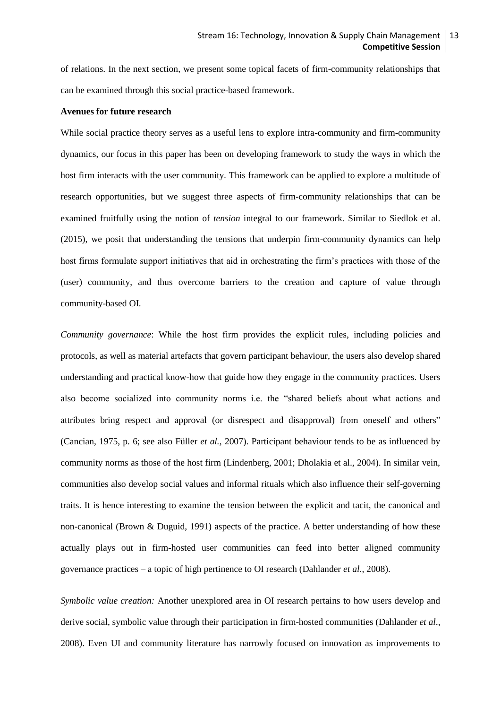of relations. In the next section, we present some topical facets of firm-community relationships that can be examined through this social practice-based framework.

#### **Avenues for future research**

While social practice theory serves as a useful lens to explore intra-community and firm-community dynamics, our focus in this paper has been on developing framework to study the ways in which the host firm interacts with the user community. This framework can be applied to explore a multitude of research opportunities, but we suggest three aspects of firm-community relationships that can be examined fruitfully using the notion of *tension* integral to our framework. Similar to Siedlok et al. [\(2015\)](#page-17-22), we posit that understanding the tensions that underpin firm-community dynamics can help host firms formulate support initiatives that aid in orchestrating the firm's practices with those of the (user) community, and thus overcome barriers to the creation and capture of value through community-based OI.

*Community governance*: While the host firm provides the explicit rules, including policies and protocols, as well as material artefacts that govern participant behaviour, the users also develop shared understanding and practical know-how that guide how they engage in the community practices. Users also become socialized into community norms i.e. the "shared beliefs about what actions and attributes bring respect and approval (or disrespect and disapproval) from oneself and others" (Cancian, 1975, p. 6; see also Füller *et al.,* 2007). Participant behaviour tends to be as influenced by community norms as those of the host firm (Lindenberg, 2001; Dholakia et al., 2004). In similar vein, communities also develop social values and informal rituals which also influence their self-governing traits. It is hence interesting to examine the tension between the explicit and tacit, the canonical and non-canonical (Brown & Duguid, 1991) aspects of the practice. A better understanding of how these actually plays out in firm-hosted user communities can feed into better aligned community governance practices – a topic of high pertinence to OI research (Dahlander *et al*., 2008).

*Symbolic value creation:* Another unexplored area in OI research pertains to how users develop and derive social, symbolic value through their participation in firm-hosted communities (Dahlander *et al*., 2008). Even UI and community literature has narrowly focused on innovation as improvements to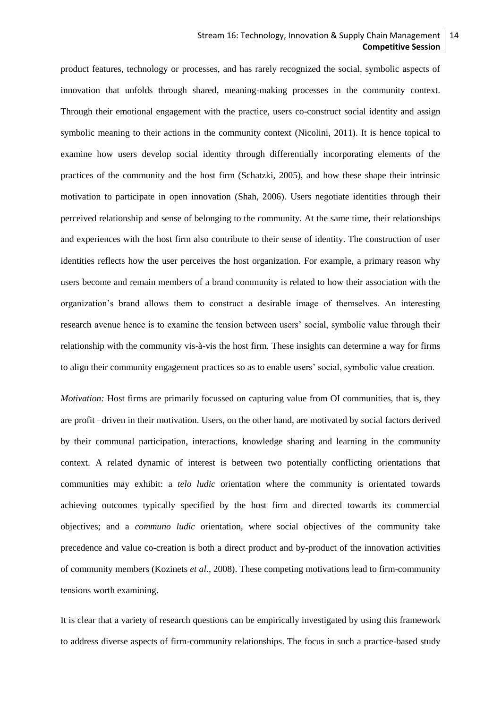### Stream 16: Technology, Innovation & Supply Chain Management | 14 **Competitive Session**

product features, technology or processes, and has rarely recognized the social, symbolic aspects of innovation that unfolds through shared, meaning-making processes in the community context. Through their emotional engagement with the practice, users co-construct social identity and assign symbolic meaning to their actions in the community context (Nicolini, 2011). It is hence topical to examine how users develop social identity through differentially incorporating elements of the practices of the community and the host firm (Schatzki, 2005), and how these shape their intrinsic motivation to participate in open innovation [\(Shah, 2006\)](#page-17-5). Users negotiate identities through their perceived relationship and sense of belonging to the community. At the same time, their relationships and experiences with the host firm also contribute to their sense of identity. The construction of user identities reflects how the user perceives the host organization. For example, a primary reason why users become and remain members of a brand community is related to how their association with the organization's brand allows them to construct a desirable image of themselves. An interesting research avenue hence is to examine the tension between users' social, symbolic value through their relationship with the community vis-à-vis the host firm. These insights can determine a way for firms to align their community engagement practices so as to enable users' social, symbolic value creation.

*Motivation:* Host firms are primarily focussed on capturing value from OI communities, that is, they are profit –driven in their motivation. Users, on the other hand, are motivated by social factors derived by their communal participation, interactions, knowledge sharing and learning in the community context. A related dynamic of interest is between two potentially conflicting orientations that communities may exhibit: a *telo ludic* orientation where the community is orientated towards achieving outcomes typically specified by the host firm and directed towards its commercial objectives; and a *communo ludic* orientation, where social objectives of the community take precedence and value co-creation is both a direct product and by-product of the innovation activities of community members [\(Kozinets](#page-17-26) *et al.*, 2008). These competing motivations lead to firm-community tensions worth examining.

It is clear that a variety of research questions can be empirically investigated by using this framework to address diverse aspects of firm-community relationships. The focus in such a practice-based study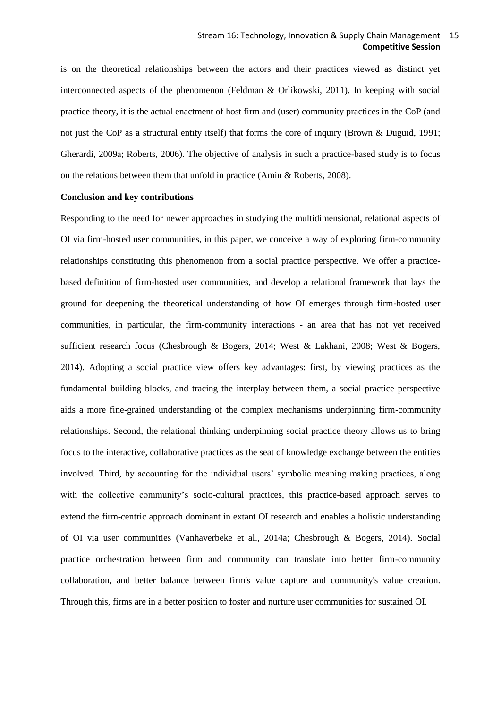is on the theoretical relationships between the actors and their practices viewed as distinct yet interconnected aspects of the phenomenon (Feldman & Orlikowski, 2011). In keeping with social practice theory, it is the actual enactment of host firm and (user) community practices in the CoP (and not just the CoP as a structural entity itself) that forms the core of inquiry (Brown & Duguid, 1991; Gherardi, 2009a; Roberts, 2006). The objective of analysis in such a practice-based study is to focus on the relations between them that unfold in practice (Amin & Roberts, 2008).

#### **Conclusion and key contributions**

Responding to the need for newer approaches in studying the multidimensional, relational aspects of OI via firm-hosted user communities, in this paper, we conceive a way of exploring firm-community relationships constituting this phenomenon from a social practice perspective. We offer a practicebased definition of firm-hosted user communities, and develop a relational framework that lays the ground for deepening the theoretical understanding of how OI emerges through firm-hosted user communities, in particular, the firm-community interactions - an area that has not yet received sufficient research focus (Chesbrough & Bogers, 2014; West & Lakhani, 2008; West & Bogers, 2014). Adopting a social practice view offers key advantages: first, by viewing practices as the fundamental building blocks, and tracing the interplay between them, a social practice perspective aids a more fine-grained understanding of the complex mechanisms underpinning firm-community relationships. Second, the relational thinking underpinning social practice theory allows us to bring focus to the interactive, collaborative practices as the seat of knowledge exchange between the entities involved. Third, by accounting for the individual users' symbolic meaning making practices, along with the collective community's socio-cultural practices, this practice-based approach serves to extend the firm-centric approach dominant in extant OI research and enables a holistic understanding of OI via user communities (Vanhaverbeke et al., 2014a; Chesbrough & Bogers, 2014). Social practice orchestration between firm and community can translate into better firm-community collaboration, and better balance between firm's value capture and community's value creation. Through this, firms are in a better position to foster and nurture user communities for sustained OI.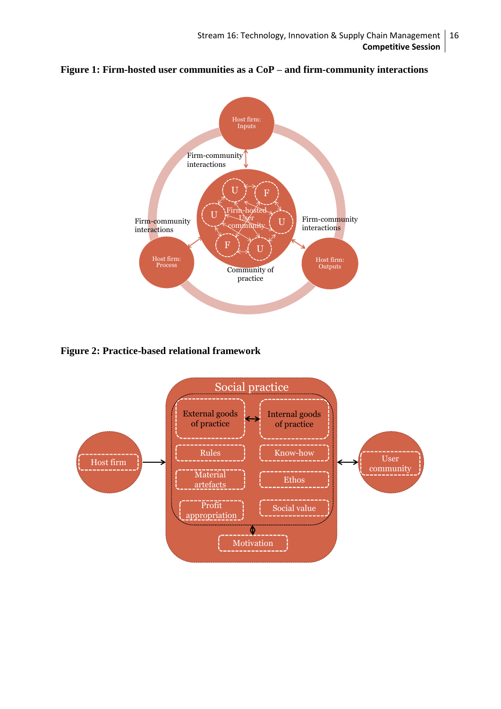



**Figure 2: Practice-based relational framework** 

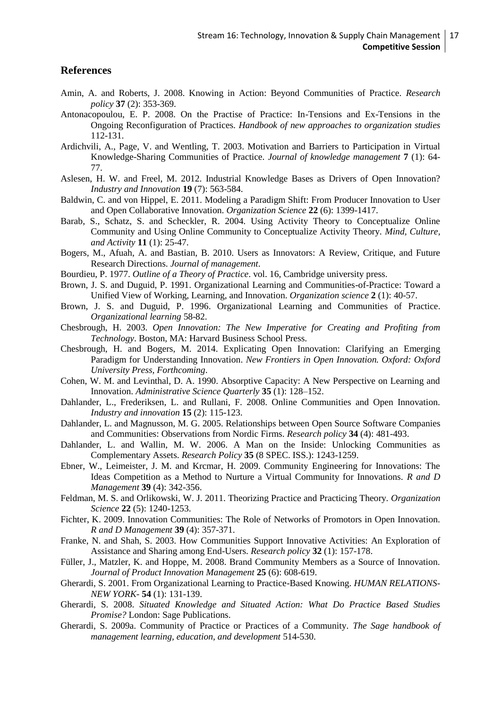## **References**

- <span id="page-16-13"></span>Amin, A. and Roberts, J. 2008. Knowing in Action: Beyond Communities of Practice. *Research policy* **37** (2): 353-369.
- <span id="page-16-23"></span>Antonacopoulou, E. P. 2008. On the Practise of Practice: In-Tensions and Ex-Tensions in the Ongoing Reconfiguration of Practices. *Handbook of new approaches to organization studies* 112-131.
- <span id="page-16-20"></span>Ardichvili, A., Page, V. and Wentling, T. 2003. Motivation and Barriers to Participation in Virtual Knowledge-Sharing Communities of Practice. *Journal of knowledge management* **7** (1): 64- 77.
- <span id="page-16-16"></span>Aslesen, H. W. and Freel, M. 2012. Industrial Knowledge Bases as Drivers of Open Innovation? *Industry and Innovation* **19** (7): 563-584.
- <span id="page-16-3"></span>Baldwin, C. and von Hippel, E. 2011. Modeling a Paradigm Shift: From Producer Innovation to User and Open Collaborative Innovation. *Organization Science* **22** (6): 1399-1417.
- <span id="page-16-21"></span>Barab, S., Schatz, S. and Scheckler, R. 2004. Using Activity Theory to Conceptualize Online Community and Using Online Community to Conceptualize Activity Theory. *Mind, Culture, and Activity* **11** (1): 25-47.
- <span id="page-16-2"></span>Bogers, M., Afuah, A. and Bastian, B. 2010. Users as Innovators: A Review, Critique, and Future Research Directions. *Journal of management*.
- <span id="page-16-18"></span>Bourdieu, P. 1977. *Outline of a Theory of Practice*. vol. 16, Cambridge university press.
- <span id="page-16-12"></span>Brown, J. S. and Duguid, P. 1991. Organizational Learning and Communities-of-Practice: Toward a Unified View of Working, Learning, and Innovation. *Organization science* **2** (1): 40-57.
- <span id="page-16-19"></span>Brown, J. S. and Duguid, P. 1996. Organizational Learning and Communities of Practice. *Organizational learning* 58-82.
- <span id="page-16-0"></span>Chesbrough, H. 2003. *Open Innovation: The New Imperative for Creating and Profiting from Technology*. Boston, MA: Harvard Business School Press.
- <span id="page-16-1"></span>Chesbrough, H. and Bogers, M. 2014. Explicating Open Innovation: Clarifying an Emerging Paradigm for Understanding Innovation. *New Frontiers in Open Innovation. Oxford: Oxford University Press, Forthcoming*.
- <span id="page-16-15"></span>Cohen, W. M. and Levinthal, D. A. 1990. Absorptive Capacity: A New Perspective on Learning and Innovation. *Administrative Science Quarterly* **35** (1): 128–152.
- <span id="page-16-9"></span>Dahlander, L., Frederiksen, L. and Rullani, F. 2008. Online Communities and Open Innovation. *Industry and innovation* **15** (2): 115-123.
- <span id="page-16-10"></span>Dahlander, L. and Magnusson, M. G. 2005. Relationships between Open Source Software Companies and Communities: Observations from Nordic Firms. *Research policy* **34** (4): 481-493.
- <span id="page-16-5"></span>Dahlander, L. and Wallin, M. W. 2006. A Man on the Inside: Unlocking Communities as Complementary Assets. *Research Policy* **35** (8 SPEC. ISS.): 1243-1259.
- <span id="page-16-6"></span>Ebner, W., Leimeister, J. M. and Krcmar, H. 2009. Community Engineering for Innovations: The Ideas Competition as a Method to Nurture a Virtual Community for Innovations. *R and D Management* **39** (4): 342-356.
- <span id="page-16-22"></span>Feldman, M. S. and Orlikowski, W. J. 2011. Theorizing Practice and Practicing Theory. *Organization Science* **22** (5): 1240-1253.
- <span id="page-16-4"></span>Fichter, K. 2009. Innovation Communities: The Role of Networks of Promotors in Open Innovation. *R and D Management* **39** (4): 357-371.
- <span id="page-16-8"></span>Franke, N. and Shah, S. 2003. How Communities Support Innovative Activities: An Exploration of Assistance and Sharing among End-Users. *Research policy* **32** (1): 157-178.
- <span id="page-16-7"></span>Füller, J., Matzler, K. and Hoppe, M. 2008. Brand Community Members as a Source of Innovation. *Journal of Product Innovation Management* **25** (6): 608-619.
- <span id="page-16-17"></span>Gherardi, S. 2001. From Organizational Learning to Practice-Based Knowing. *HUMAN RELATIONS-NEW YORK-* **54** (1): 131-139.
- <span id="page-16-11"></span>Gherardi, S. 2008. *Situated Knowledge and Situated Action: What Do Practice Based Studies Promise?* London: Sage Publications.
- <span id="page-16-14"></span>Gherardi, S. 2009a. Community of Practice or Practices of a Community. *The Sage handbook of management learning, education, and development* 514-530.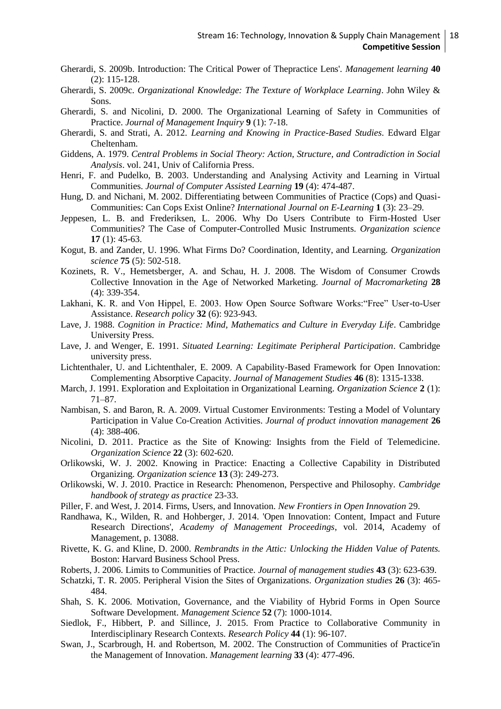- <span id="page-17-8"></span>Gherardi, S. 2009b. Introduction: The Critical Power of Thepractice Lens'. *Management learning* **40**  (2): 115-128.
- <span id="page-17-13"></span>Gherardi, S. 2009c. *Organizational Knowledge: The Texture of Workplace Learning*. John Wiley & Sons.
- <span id="page-17-15"></span>Gherardi, S. and Nicolini, D. 2000. The Organizational Learning of Safety in Communities of Practice. *Journal of Management Inquiry* **9** (1): 7-18.
- <span id="page-17-6"></span>Gherardi, S. and Strati, A. 2012. *Learning and Knowing in Practice-Based Studies*. Edward Elgar Cheltenham.
- <span id="page-17-16"></span>Giddens, A. 1979. *Central Problems in Social Theory: Action, Structure, and Contradiction in Social Analysis*. vol. 241, Univ of California Press.
- <span id="page-17-20"></span>Henri, F. and Pudelko, B. 2003. Understanding and Analysing Activity and Learning in Virtual Communities. *Journal of Computer Assisted Learning* **19** (4): 474-487.
- <span id="page-17-21"></span>Hung, D. and Nichani, M. 2002. Differentiating between Communities of Practice (Cops) and Quasi-Communities: Can Cops Exist Online? *International Journal on E-Learning* **1** (3): 23–29.
- <span id="page-17-1"></span>Jeppesen, L. B. and Frederiksen, L. 2006. Why Do Users Contribute to Firm-Hosted User Communities? The Case of Computer-Controlled Music Instruments. *Organization science* **17** (1): 45-63.
- <span id="page-17-11"></span>Kogut, B. and Zander, U. 1996. What Firms Do? Coordination, Identity, and Learning. *Organization science* **75** (5): 502-518.
- <span id="page-17-26"></span>Kozinets, R. V., Hemetsberger, A. and Schau, H. J. 2008. The Wisdom of Consumer Crowds Collective Innovation in the Age of Networked Marketing. *Journal of Macromarketing* **28**  (4): 339-354.
- <span id="page-17-4"></span>Lakhani, K. R. and Von Hippel, E. 2003. How Open Source Software Works:"Free" User-to-User Assistance. *Research policy* **32** (6): 923-943.
- <span id="page-17-17"></span>Lave, J. 1988. *Cognition in Practice: Mind, Mathematics and Culture in Everyday Life*. Cambridge University Press.
- <span id="page-17-7"></span>Lave, J. and Wenger, E. 1991. *Situated Learning: Legitimate Peripheral Participation*. Cambridge university press.
- <span id="page-17-12"></span>Lichtenthaler, U. and Lichtenthaler, E. 2009. A Capability-Based Framework for Open Innovation: Complementing Absorptive Capacity. *Journal of Management Studies* **46** (8): 1315-1338.
- <span id="page-17-9"></span>March, J. 1991. Exploration and Exploitation in Organizational Learning. *Organization Science* **2** (1): 71–87.
- <span id="page-17-3"></span>Nambisan, S. and Baron, R. A. 2009. Virtual Customer Environments: Testing a Model of Voluntary Participation in Value Co‐Creation Activities. *Journal of product innovation management* **26**  (4): 388-406.
- <span id="page-17-14"></span>Nicolini, D. 2011. Practice as the Site of Knowing: Insights from the Field of Telemedicine. *Organization Science* **22** (3): 602-620.
- <span id="page-17-23"></span>Orlikowski, W. J. 2002. Knowing in Practice: Enacting a Collective Capability in Distributed Organizing. *Organization science* **13** (3): 249-273.
- <span id="page-17-24"></span>Orlikowski, W. J. 2010. Practice in Research: Phenomenon, Perspective and Philosophy. *Cambridge handbook of strategy as practice* 23-33.
- <span id="page-17-0"></span>Piller, F. and West, J. 2014. Firms, Users, and Innovation. *New Frontiers in Open Innovation* 29.
- <span id="page-17-2"></span>Randhawa, K., Wilden, R. and Hohberger, J. 2014. 'Open Innovation: Content, Impact and Future Research Directions', *Academy of Management Proceedings*, vol. 2014, Academy of Management, p. 13088.
- <span id="page-17-10"></span>Rivette, K. G. and Kline, D. 2000. *Rembrandts in the Attic: Unlocking the Hidden Value of Patents.* Boston: Harvard Business School Press.
- <span id="page-17-18"></span>Roberts, J. 2006. Limits to Communities of Practice. *Journal of management studies* **43** (3): 623-639.
- <span id="page-17-25"></span>Schatzki, T. R. 2005. Peripheral Vision the Sites of Organizations. *Organization studies* **26** (3): 465- 484.
- <span id="page-17-5"></span>Shah, S. K. 2006. Motivation, Governance, and the Viability of Hybrid Forms in Open Source Software Development. *Management Science* **52** (7): 1000-1014.
- <span id="page-17-22"></span>Siedlok, F., Hibbert, P. and Sillince, J. 2015. From Practice to Collaborative Community in Interdisciplinary Research Contexts. *Research Policy* **44** (1): 96-107.
- <span id="page-17-19"></span>Swan, J., Scarbrough, H. and Robertson, M. 2002. The Construction of Communities of Practice'in the Management of Innovation. *Management learning* **33** (4): 477-496.